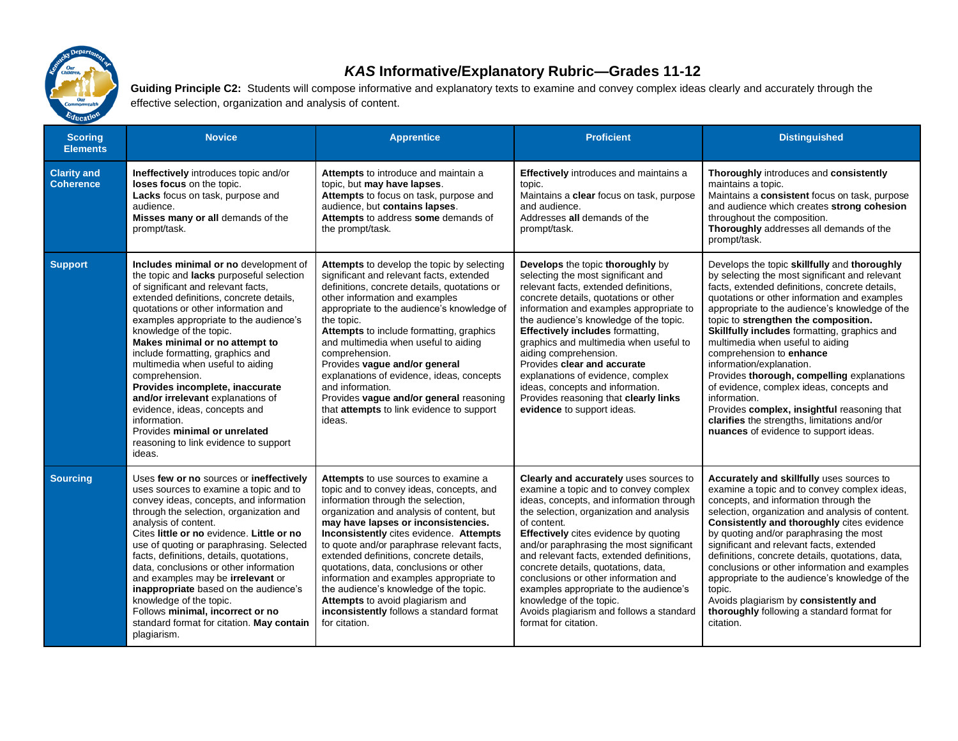

## *KAS* **Informative/Explanatory Rubric—Grades 11-12**

Guiding Principle C2: Students will compose informative and explanatory texts to examine and convey complex ideas clearly and accurately through the effective selection, organization and analysis of content.

| <b>Scoring</b><br><b>Elements</b>      | <b>Novice</b>                                                                                                                                                                                                                                                                                                                                                                                                                                                                                                                                                                                                           | <b>Apprentice</b>                                                                                                                                                                                                                                                                                                                                                                                                                                                                                                                                                              | <b>Proficient</b>                                                                                                                                                                                                                                                                                                                                                                                                                                                                                                                                | <b>Distinguished</b>                                                                                                                                                                                                                                                                                                                                                                                                                                                                                                                                                                                                                                                                    |
|----------------------------------------|-------------------------------------------------------------------------------------------------------------------------------------------------------------------------------------------------------------------------------------------------------------------------------------------------------------------------------------------------------------------------------------------------------------------------------------------------------------------------------------------------------------------------------------------------------------------------------------------------------------------------|--------------------------------------------------------------------------------------------------------------------------------------------------------------------------------------------------------------------------------------------------------------------------------------------------------------------------------------------------------------------------------------------------------------------------------------------------------------------------------------------------------------------------------------------------------------------------------|--------------------------------------------------------------------------------------------------------------------------------------------------------------------------------------------------------------------------------------------------------------------------------------------------------------------------------------------------------------------------------------------------------------------------------------------------------------------------------------------------------------------------------------------------|-----------------------------------------------------------------------------------------------------------------------------------------------------------------------------------------------------------------------------------------------------------------------------------------------------------------------------------------------------------------------------------------------------------------------------------------------------------------------------------------------------------------------------------------------------------------------------------------------------------------------------------------------------------------------------------------|
| <b>Clarity and</b><br><b>Coherence</b> | Ineffectively introduces topic and/or<br>loses focus on the topic.<br>Lacks focus on task, purpose and<br>audience.<br>Misses many or all demands of the<br>prompt/task.                                                                                                                                                                                                                                                                                                                                                                                                                                                | Attempts to introduce and maintain a<br>topic, but may have lapses.<br>Attempts to focus on task, purpose and<br>audience, but contains lapses.<br>Attempts to address some demands of<br>the prompt/task.                                                                                                                                                                                                                                                                                                                                                                     | <b>Effectively</b> introduces and maintains a<br>topic.<br>Maintains a clear focus on task, purpose<br>and audience.<br>Addresses all demands of the<br>prompt/task.                                                                                                                                                                                                                                                                                                                                                                             | Thoroughly introduces and consistently<br>maintains a topic.<br>Maintains a consistent focus on task, purpose<br>and audience which creates strong cohesion<br>throughout the composition.<br>Thoroughly addresses all demands of the<br>prompt/task.                                                                                                                                                                                                                                                                                                                                                                                                                                   |
| <b>Support</b>                         | Includes minimal or no development of<br>the topic and lacks purposeful selection<br>of significant and relevant facts,<br>extended definitions, concrete details,<br>quotations or other information and<br>examples appropriate to the audience's<br>knowledge of the topic.<br>Makes minimal or no attempt to<br>include formatting, graphics and<br>multimedia when useful to aiding<br>comprehension.<br>Provides incomplete, inaccurate<br>and/or irrelevant explanations of<br>evidence, ideas, concepts and<br>information.<br>Provides minimal or unrelated<br>reasoning to link evidence to support<br>ideas. | Attempts to develop the topic by selecting<br>significant and relevant facts, extended<br>definitions, concrete details, quotations or<br>other information and examples<br>appropriate to the audience's knowledge of<br>the topic.<br>Attempts to include formatting, graphics<br>and multimedia when useful to aiding<br>comprehension.<br>Provides vague and/or general<br>explanations of evidence, ideas, concepts<br>and information.<br>Provides vague and/or general reasoning<br>that attempts to link evidence to support<br>ideas.                                 | Develops the topic thoroughly by<br>selecting the most significant and<br>relevant facts, extended definitions,<br>concrete details, quotations or other<br>information and examples appropriate to<br>the audience's knowledge of the topic.<br><b>Effectively includes formatting,</b><br>graphics and multimedia when useful to<br>aiding comprehension.<br>Provides clear and accurate<br>explanations of evidence, complex<br>ideas, concepts and information.<br>Provides reasoning that clearly links<br>evidence to support ideas.       | Develops the topic skillfully and thoroughly<br>by selecting the most significant and relevant<br>facts, extended definitions, concrete details,<br>quotations or other information and examples<br>appropriate to the audience's knowledge of the<br>topic to strengthen the composition.<br>Skillfully includes formatting, graphics and<br>multimedia when useful to aiding<br>comprehension to enhance<br>information/explanation.<br>Provides thorough, compelling explanations<br>of evidence, complex ideas, concepts and<br>information.<br>Provides complex, insightful reasoning that<br>clarifies the strengths, limitations and/or<br>nuances of evidence to support ideas. |
| <b>Sourcing</b>                        | Uses few or no sources or ineffectively<br>uses sources to examine a topic and to<br>convey ideas, concepts, and information<br>through the selection, organization and<br>analysis of content.<br>Cites little or no evidence. Little or no<br>use of quoting or paraphrasing. Selected<br>facts, definitions, details, quotations,<br>data, conclusions or other information<br>and examples may be irrelevant or<br>inappropriate based on the audience's<br>knowledge of the topic.<br>Follows minimal, incorrect or no<br>standard format for citation. May contain<br>plagiarism.                                 | Attempts to use sources to examine a<br>topic and to convey ideas, concepts, and<br>information through the selection,<br>organization and analysis of content, but<br>may have lapses or inconsistencies.<br>Inconsistently cites evidence. Attempts<br>to quote and/or paraphrase relevant facts,<br>extended definitions, concrete details,<br>quotations, data, conclusions or other<br>information and examples appropriate to<br>the audience's knowledge of the topic.<br>Attempts to avoid plagiarism and<br>inconsistently follows a standard format<br>for citation. | Clearly and accurately uses sources to<br>examine a topic and to convey complex<br>ideas, concepts, and information through<br>the selection, organization and analysis<br>of content.<br>Effectively cites evidence by quoting<br>and/or paraphrasing the most significant<br>and relevant facts, extended definitions,<br>concrete details, quotations, data,<br>conclusions or other information and<br>examples appropriate to the audience's<br>knowledge of the topic.<br>Avoids plagiarism and follows a standard<br>format for citation. | Accurately and skillfully uses sources to<br>examine a topic and to convey complex ideas,<br>concepts, and information through the<br>selection, organization and analysis of content.<br>Consistently and thoroughly cites evidence<br>by quoting and/or paraphrasing the most<br>significant and relevant facts, extended<br>definitions, concrete details, quotations, data,<br>conclusions or other information and examples<br>appropriate to the audience's knowledge of the<br>topic.<br>Avoids plagiarism by consistently and<br>thoroughly following a standard format for<br>citation.                                                                                        |